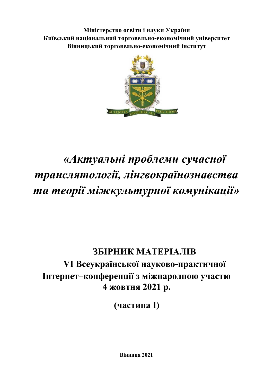**Міністерство освіти і науки України Київський національний торговельно-економічний університет Вінницький торговельно-економічний інститут**



# *«Актуальні проблеми сучасної транслятології, лінгвокраїнознавства та теорії міжкультурної комунікації»*

## **ЗБІРНИК МАТЕРІАЛІВ VІ Всеукраїнської науково-практичної Інтернет–конференції з міжнародною участю 4 жовтня 2021 р.**

**(частина І)** 

**Вінниця 2021**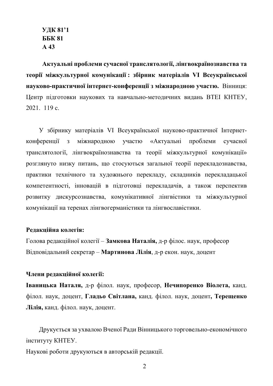**УДК 81'1 ББК 81 А 43** 

**Актуальні проблеми сучасної транслятології, лінгвокраїнознавства та теорії міжкультурної комунікації : збірник матеріалів VІ Всеукраїнської науково-практичної інтернет-конференції з міжнародною участю.** Вінниця: Центр підготовки наукових та навчально-методичних видань ВТЕІ КНТЕУ, 2021. 119 с.

У збірнику матеріалів VІ Всеукраїнської науково-практичної Інтернетконференції з міжнародною участю «Актуальні проблеми сучасної транслятології, лінгвокраїнознавства та теорії міжкультурної комунікації» розглянуто низку питань, що стосуються загальної теорії перекладознавства, практики технічного та художнього перекладу, складників перекладацької компетентності, інновацій в підготовці перекладачів, а також перспектив розвитку дискурсознавства, комунікативної лінгвістики та міжкультурної комунікації на теренах лінгвогерманістики та лінгвославістики.

#### **Редакційна колегія:**

Голова редакційної колегії – **Замкова Наталія,** д-р філос. наук, професор Відповідальний секретар – **Мартинова Лілія**, д-р екон. наук, доцент

#### **Члени редакційної колегії:**

**Іваницька Наталя,** д-р філол. наук, професор, **Нечипоренко Віолета,** канд. філол. наук, доцент, **Гладьо Світлана,** канд. філол. наук, доцент**, Терещенко Лілія,** канд. філол. наук, доцент.

Друкується за ухвалою Вченої Ради Вінницького торговельно-економічного інституту КНТЕУ.

Наукові роботи друкуються в авторській редакції.

2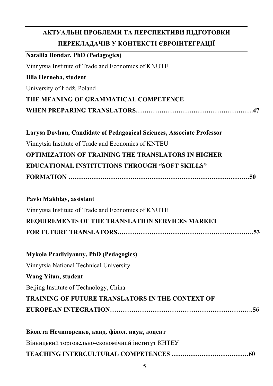| АКТУАЛЬНІ ПРОБЛЕМИ ТА ПЕРСПЕКТИВИ ПІДГОТОВКИ                          |
|-----------------------------------------------------------------------|
| ПЕРЕКЛАДАЧІВ У КОНТЕКСТІ ЄВРОІНТЕГРАЦІЇ                               |
| <b>Nataliia Bondar, PhD (Pedagogics)</b>                              |
| Vinnytsia Institute of Trade and Economics of KNUTE                   |
| Illia Herneha, student                                                |
| University of Łódź, Poland                                            |
| THE MEANING OF GRAMMATICAL COMPETENCE                                 |
|                                                                       |
| Larysa Dovhan, Candidate of Pedagogical Sciences, Associate Professor |
| Vinnytsia Institute of Trade and Economics of KNTEU                   |
| <b>OPTIMIZATION OF TRAINING THE TRANSLATORS IN HIGHER</b>             |
| EDUCATIONAL INSTITUTIONS THROUGH "SOFT SKILLS"                        |
|                                                                       |
| Pavlo Makhlay, assistant                                              |
| Vinnytsia Institute of Trade and Economics of KNUTE                   |
| REQUIREMENTS OF THE TRANSLATION SERVICES MARKET                       |
|                                                                       |
| <b>Mykola Pradivlyanny, PhD (Pedagogics)</b>                          |
| Vinnytsia National Technical University                               |
| <b>Wang Yitan, student</b>                                            |
| Beijing Institute of Technology, China                                |
| <b>TRAINING OF FUTURE TRANSLATORS IN THE CONTEXT OF</b>               |
|                                                                       |
| Rionera Нечиноренко канд фiлод наук лонент                            |

| <u>ыолета печиноренко, канд. филол. наук, доцент</u> |
|------------------------------------------------------|
| Вінницький торговельно-економічний інститут КНТЕУ    |
|                                                      |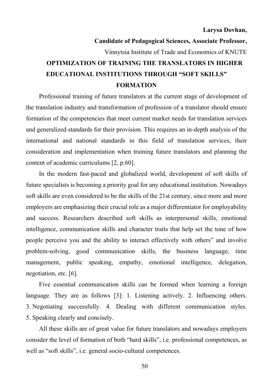```
Larysa Dovhan,
```
### **Candidate of Pedagogical Sciences, Associate Professor,**  Vinnytsia Institute of Trade and Economics of KNUTE **OPTIMIZATION OF TRAINING THE TRANSLATORS IN HIGHER EDUCATIONAL INSTITUTIONS THROUGH "SOFT SKILLS" FORMATION**

Professional training of future translators at the current stage of development of the translation industry and transformation of profession of a translator should ensure formation of the competencies that meet current market needs for translation services and generalized standards for their provision. This requires an in-depth analysis of the international and national standards in this field of translation services, their consideration and implementation when training future translators and planning the content of academic curriculums [2, p.60].

In the modern fast-paced and globalized world, development of soft skills of future specialists is becoming a priority goal for any educational institution. Nowadays soft skills are even considered to be the skills of the 21st century, since more and more employers are emphasizing their crucial role as a major differentiator for employability and success. Researchers described soft skills as interpersonal skills, emotional intelligence, communication skills and character traits that help set the tone of how people perceive you and the ability to interact effectively with others" and involve problem-solving, good communication skills, the business language, time management, public speaking, empathy, emotional intelligence, delegation, negotiation, etc. [6].

Five essential communication skills can be formed when learning a foreign language. They are as follows [3]: 1. Listening actively. 2. Influencing others. 3. Negotiating successfully. 4. Dealing with different communication styles. 5. Speaking clearly and concisely.

All these skills are of great value for future translators and nowadays employers consider the level of formation of both "hard skills", i.e. professional competences, as well as "soft skills", i.e. general socio-cultural competences.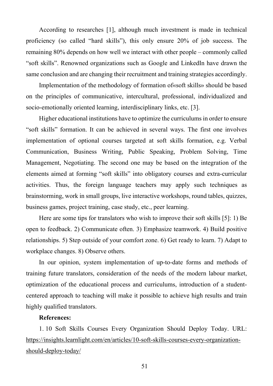According to researches [1], although much investment is made in technical proficiency (so called "hard skills"), this only ensure 20% of job success. The remaining 80% depends on how well we interact with other people – commonly called "soft skills". Renowned organizations such as Google and LinkedIn have drawn the same conclusion and are changing their recruitment and training strategies accordingly.

Implementation of the methodology of formation of«soft skills» should be based on the principles of communicative, intercultural, professional, individualized and socio-emotionally oriented learning, interdisciplinary links, etc. [3].

Higher educational institutions have to optimize the curriculums in order to ensure "soft skills" formation. It can be achieved in several ways. The first one involves implementation of optional courses targeted at soft skills formation, e.g. Verbal Communication, Business Writing, Public Speaking, Problem Solving, Time Management, Negotiating. The second one may be based on the integration of the elements aimed at forming "soft skills" into obligatory courses and extra-curricular activities. Thus, the foreign language teachers may apply such techniques as brainstorming, work in small groups, live interactive workshops, round tables, quizzes, business games, project training, case study, etc., peer learning.

Here are some tips for translators who wish to improve their soft skills [5]: 1) Be open to feedback. 2) Communicate often. 3) Emphasize teamwork. 4) Build positive relationships. 5) Step outside of your comfort zone. 6) Get ready to learn. 7) Adapt to workplace changes. 8) Observe others.

In our opinion, system implementation of up-to-date forms and methods of training future translators, consideration of the needs of the modern labour market, optimization of the educational process and curriculums, introduction of a studentcentered approach to teaching will make it possible to achieve high results and train highly qualified translators.

#### **References:**

1. 10 Soft Skills Courses Every Organization Should Deploy Today. URL: https://insights.learnlight.com/en/articles/10-soft-skills-courses-every-organizationshould-deploy-today/